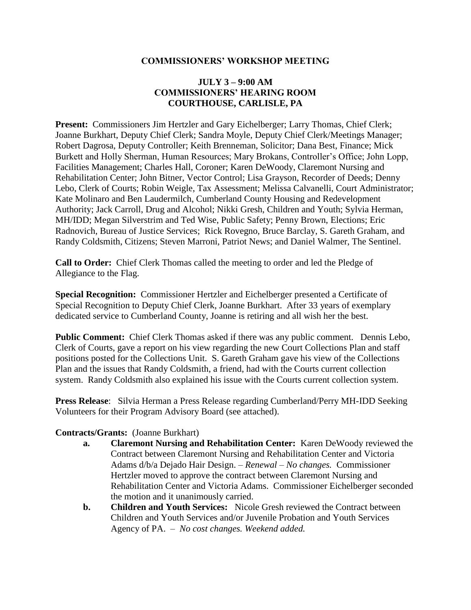### **COMMISSIONERS' WORKSHOP MEETING**

## **JULY 3 – 9:00 AM COMMISSIONERS' HEARING ROOM COURTHOUSE, CARLISLE, PA**

**Present:** Commissioners Jim Hertzler and Gary Eichelberger; Larry Thomas, Chief Clerk; Joanne Burkhart, Deputy Chief Clerk; Sandra Moyle, Deputy Chief Clerk/Meetings Manager; Robert Dagrosa, Deputy Controller; Keith Brenneman, Solicitor; Dana Best, Finance; Mick Burkett and Holly Sherman, Human Resources; Mary Brokans, Controller's Office; John Lopp, Facilities Management; Charles Hall, Coroner; Karen DeWoody, Claremont Nursing and Rehabilitation Center; John Bitner, Vector Control; Lisa Grayson, Recorder of Deeds; Denny Lebo, Clerk of Courts; Robin Weigle, Tax Assessment; Melissa Calvanelli, Court Administrator; Kate Molinaro and Ben Laudermilch, Cumberland County Housing and Redevelopment Authority; Jack Carroll, Drug and Alcohol; Nikki Gresh, Children and Youth; Sylvia Herman, MH/IDD; Megan Silverstrim and Ted Wise, Public Safety; Penny Brown, Elections; Eric Radnovich, Bureau of Justice Services; Rick Rovegno, Bruce Barclay, S. Gareth Graham, and Randy Coldsmith, Citizens; Steven Marroni, Patriot News; and Daniel Walmer, The Sentinel.

**Call to Order:** Chief Clerk Thomas called the meeting to order and led the Pledge of Allegiance to the Flag.

**Special Recognition:** Commissioner Hertzler and Eichelberger presented a Certificate of Special Recognition to Deputy Chief Clerk, Joanne Burkhart. After 33 years of exemplary dedicated service to Cumberland County, Joanne is retiring and all wish her the best.

**Public Comment:** Chief Clerk Thomas asked if there was any public comment. Dennis Lebo, Clerk of Courts, gave a report on his view regarding the new Court Collections Plan and staff positions posted for the Collections Unit. S. Gareth Graham gave his view of the Collections Plan and the issues that Randy Coldsmith, a friend, had with the Courts current collection system. Randy Coldsmith also explained his issue with the Courts current collection system.

**Press Release**: Silvia Herman a Press Release regarding Cumberland/Perry MH-IDD Seeking Volunteers for their Program Advisory Board (see attached).

#### **Contracts/Grants:** (Joanne Burkhart)

- **a. Claremont Nursing and Rehabilitation Center:** Karen DeWoody reviewed the Contract between Claremont Nursing and Rehabilitation Center and Victoria Adams d/b/a Dejado Hair Design. *– Renewal – No changes.* Commissioner Hertzler moved to approve the contract between Claremont Nursing and Rehabilitation Center and Victoria Adams. Commissioner Eichelberger seconded the motion and it unanimously carried.
- **b. Children and Youth Services:** Nicole Gresh reviewed the Contract between Children and Youth Services and/or Juvenile Probation and Youth Services Agency of PA. – *No cost changes. Weekend added.*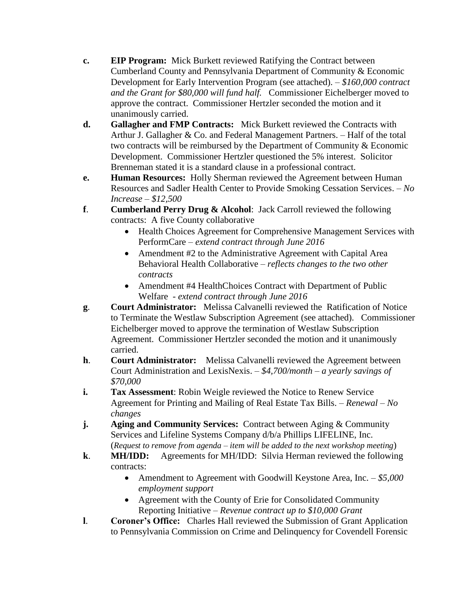- **c. EIP Program:** Mick Burkett reviewed Ratifying the Contract between Cumberland County and Pennsylvania Department of Community & Economic Development for Early Intervention Program (see attached). – *\$160,000 contract and the Grant for \$80,000 will fund half.* Commissioner Eichelberger moved to approve the contract. Commissioner Hertzler seconded the motion and it unanimously carried.
- **d. Gallagher and FMP Contracts:** Mick Burkett reviewed the Contracts with Arthur J. Gallagher & Co. and Federal Management Partners. – Half of the total two contracts will be reimbursed by the Department of Community & Economic Development. Commissioner Hertzler questioned the 5% interest. Solicitor Brenneman stated it is a standard clause in a professional contract.
- **e. Human Resources:** Holly Sherman reviewed the Agreement between Human Resources and Sadler Health Center to Provide Smoking Cessation Services. – *No Increase – \$12,500*
- **f**. **Cumberland Perry Drug & Alcohol**: Jack Carroll reviewed the following contracts: A five County collaborative
	- Health Choices Agreement for Comprehensive Management Services with PerformCare *– extend contract through June 2016*
	- Amendment #2 to the Administrative Agreement with Capital Area Behavioral Health Collaborative *– reflects changes to the two other contracts*
	- Amendment #4 HealthChoices Contract with Department of Public Welfare *- extend contract through June 2016*
- **g**. **Court Administrator:** Melissa Calvanelli reviewed the Ratification of Notice to Terminate the Westlaw Subscription Agreement (see attached). Commissioner Eichelberger moved to approve the termination of Westlaw Subscription Agreement. Commissioner Hertzler seconded the motion and it unanimously carried.
- **h**. **Court Administrator:** Melissa Calvanelli reviewed the Agreement between Court Administration and LexisNexis. – *\$4,700/month – a yearly savings of \$70,000*
- **i. Tax Assessment:** Robin Weigle reviewed the Notice to Renew Service Agreement for Printing and Mailing of Real Estate Tax Bills. – *Renewal – No changes*
- **j. Aging and Community Services:** Contract between Aging & Community Services and Lifeline Systems Company d/b/a Phillips LIFELINE, Inc. (*Request to remove from agenda – item will be added to the next workshop meeting*)
- **k**. **MH/IDD:** Agreements for MH/IDD: Silvia Herman reviewed the following contracts:
	- Amendment to Agreement with Goodwill Keystone Area, Inc. *\$5,000 employment support*
	- Agreement with the County of Erie for Consolidated Community Reporting Initiative – *Revenue contract up to \$10,000 Grant*
- **l**. **Coroner's Office:** Charles Hall reviewed the Submission of Grant Application to Pennsylvania Commission on Crime and Delinquency for Covendell Forensic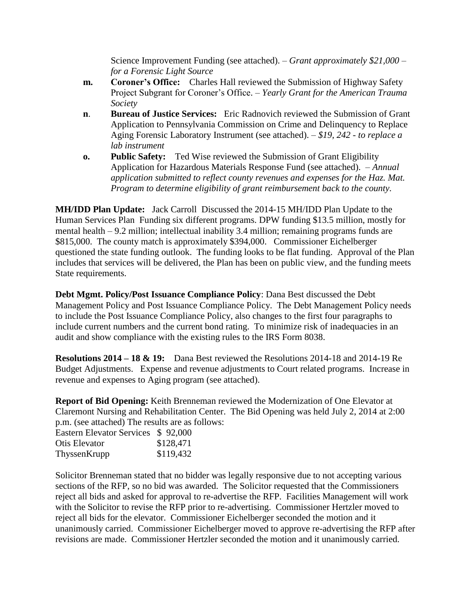Science Improvement Funding (see attached). – *Grant approximately \$21,000 – for a Forensic Light Source* 

- **m. Coroner's Office:** Charles Hall reviewed the Submission of Highway Safety Project Subgrant for Coroner's Office. – *Yearly Grant for the American Trauma Society*
- **n**. **Bureau of Justice Services:** Eric Radnovich reviewed the Submission of Grant Application to Pennsylvania Commission on Crime and Delinquency to Replace Aging Forensic Laboratory Instrument (see attached). – *\$19, 242 - to replace a lab instrument*
- **o. Public Safety:** Ted Wise reviewed the Submission of Grant Eligibility Application for Hazardous Materials Response Fund (see attached). – *Annual application submitted to reflect county revenues and expenses for the Haz. Mat. Program to determine eligibility of grant reimbursement back to the county.*

**MH/IDD Plan Update:** Jack Carroll Discussed the 2014-15 MH/IDD Plan Update to the Human Services Plan Funding six different programs. DPW funding \$13.5 million, mostly for mental health – 9.2 million; intellectual inability 3.4 million; remaining programs funds are \$815,000. The county match is approximately \$394,000. Commissioner Eichelberger questioned the state funding outlook. The funding looks to be flat funding. Approval of the Plan includes that services will be delivered, the Plan has been on public view, and the funding meets State requirements.

**Debt Mgmt. Policy/Post Issuance Compliance Policy**: Dana Best discussed the Debt Management Policy and Post Issuance Compliance Policy. The Debt Management Policy needs to include the Post Issuance Compliance Policy, also changes to the first four paragraphs to include current numbers and the current bond rating. To minimize risk of inadequacies in an audit and show compliance with the existing rules to the IRS Form 8038.

**Resolutions 2014 – 18 & 19:** Dana Best reviewed the Resolutions 2014-18 and 2014-19 Re Budget Adjustments. Expense and revenue adjustments to Court related programs. Increase in revenue and expenses to Aging program (see attached).

**Report of Bid Opening:** Keith Brenneman reviewed the Modernization of One Elevator at Claremont Nursing and Rehabilitation Center. The Bid Opening was held July 2, 2014 at 2:00 p.m. (see attached) The results are as follows:

| Eastern Elevator Services \$92,000 |           |
|------------------------------------|-----------|
| Otis Elevator                      | \$128,471 |
| ThyssenKrupp                       | \$119,432 |

Solicitor Brenneman stated that no bidder was legally responsive due to not accepting various sections of the RFP, so no bid was awarded. The Solicitor requested that the Commissioners reject all bids and asked for approval to re-advertise the RFP. Facilities Management will work with the Solicitor to revise the RFP prior to re-advertising. Commissioner Hertzler moved to reject all bids for the elevator. Commissioner Eichelberger seconded the motion and it unanimously carried. Commissioner Eichelberger moved to approve re-advertising the RFP after revisions are made. Commissioner Hertzler seconded the motion and it unanimously carried.